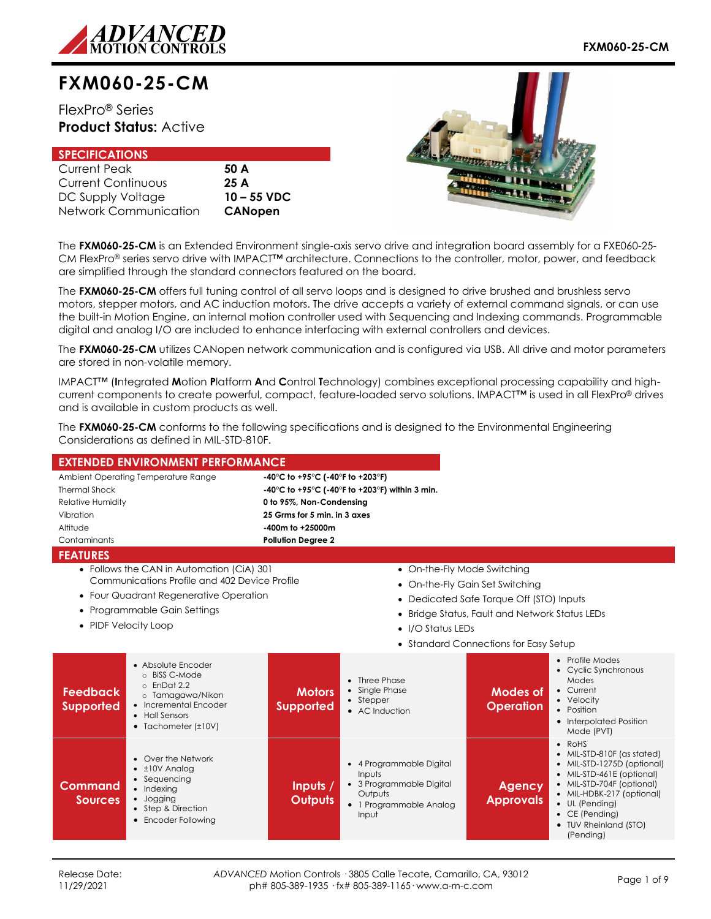

# **FXM060-25-CM**

FlexPro® Series **Product Status:** Active

# **SPECIFICATIONS**

| <b>Current Peak</b>   |  |
|-----------------------|--|
| Current Continuous    |  |
| DC Supply Voltage     |  |
| Network Communication |  |

50 A Current Continuous **25 A** DC Supply Voltage **10 – 55 VDC CANopen** 



The **FXM060-25-CM** is an Extended Environment single-axis servo drive and integration board assembly for a FXE060-25- CM FlexPro® series servo drive with IMPACT™ architecture. Connections to the controller, motor, power, and feedback are simplified through the standard connectors featured on the board.

The **FXM060-25-CM** offers full tuning control of all servo loops and is designed to drive brushed and brushless servo motors, stepper motors, and AC induction motors. The drive accepts a variety of external command signals, or can use the built-in Motion Engine, an internal motion controller used with Sequencing and Indexing commands. Programmable digital and analog I/O are included to enhance interfacing with external controllers and devices.

The **FXM060-25-CM** utilizes CANopen network communication and is configured via USB. All drive and motor parameters are stored in non-volatile memory.

IMPACT™ (**I**ntegrated **M**otion **P**latform **A**nd **C**ontrol **T**echnology) combines exceptional processing capability and highcurrent components to create powerful, compact, feature-loaded servo solutions. IMPACT™ is used in all FlexPro® drives and is available in custom products as well.

The **FXM060-25-CM** conforms to the following specifications and is designed to the Environmental Engineering Considerations as defined in MIL-STD-810F.

|                                     | <b>EXTENDED ENVIRONMENT PERFORMANCE</b>                                                                                                                      |                                   |                                                                                                               |                                                |                                                                                                                                                                                                                                                     |  |
|-------------------------------------|--------------------------------------------------------------------------------------------------------------------------------------------------------------|-----------------------------------|---------------------------------------------------------------------------------------------------------------|------------------------------------------------|-----------------------------------------------------------------------------------------------------------------------------------------------------------------------------------------------------------------------------------------------------|--|
|                                     | Ambient Operating Temperature Range                                                                                                                          | -40°C to +95°C (-40°F to +203°F)  |                                                                                                               |                                                |                                                                                                                                                                                                                                                     |  |
| <b>Thermal Shock</b>                |                                                                                                                                                              |                                   | -40°C to +95°C (-40°F to +203°F) within 3 min.                                                                |                                                |                                                                                                                                                                                                                                                     |  |
| <b>Relative Humidity</b>            |                                                                                                                                                              | 0 to 95%, Non-Condensing          |                                                                                                               |                                                |                                                                                                                                                                                                                                                     |  |
| Vibration                           |                                                                                                                                                              | 25 Grms for 5 min. in 3 axes      |                                                                                                               |                                                |                                                                                                                                                                                                                                                     |  |
| Altitude                            |                                                                                                                                                              | -400m to +25000m                  |                                                                                                               |                                                |                                                                                                                                                                                                                                                     |  |
| Contaminants                        |                                                                                                                                                              | <b>Pollution Degree 2</b>         |                                                                                                               |                                                |                                                                                                                                                                                                                                                     |  |
| <b>FEATURES</b>                     |                                                                                                                                                              |                                   |                                                                                                               |                                                |                                                                                                                                                                                                                                                     |  |
|                                     | • Follows the CAN in Automation (CiA) 301                                                                                                                    |                                   | • On-the-Fly Mode Switching                                                                                   |                                                |                                                                                                                                                                                                                                                     |  |
|                                     | Communications Profile and 402 Device Profile                                                                                                                |                                   |                                                                                                               | • On-the-Fly Gain Set Switching                |                                                                                                                                                                                                                                                     |  |
|                                     | • Four Quadrant Regenerative Operation                                                                                                                       |                                   |                                                                                                               | • Dedicated Safe Torque Off (STO) Inputs       |                                                                                                                                                                                                                                                     |  |
|                                     | • Programmable Gain Settings                                                                                                                                 |                                   |                                                                                                               | • Bridge Status, Fault and Network Status LEDs |                                                                                                                                                                                                                                                     |  |
| • PIDF Velocity Loop                |                                                                                                                                                              |                                   |                                                                                                               |                                                |                                                                                                                                                                                                                                                     |  |
|                                     |                                                                                                                                                              |                                   | • I/O Status LEDs                                                                                             |                                                |                                                                                                                                                                                                                                                     |  |
|                                     |                                                                                                                                                              |                                   |                                                                                                               | • Standard Connections for Easy Setup          |                                                                                                                                                                                                                                                     |  |
| <b>Feedback</b><br><b>Supported</b> | • Absolute Encoder<br>o BiSS C-Mode<br>$\circ$ EnDat 2.2<br>o Tamagawa/Nikon<br>• Incremental Encoder<br>• Hall Sensors<br>$\bullet$ Tachometer ( $\pm$ 10V) | <b>Motors</b><br><b>Supported</b> | • Three Phase<br>• Single Phase<br>• Stepper<br>• AC Induction                                                | <b>Modes of</b><br><b>Operation</b>            | • Profile Modes<br>• Cyclic Synchronous<br>Modes<br>• Current<br>• Velocity<br>• Position<br>• Interpolated Position<br>Mode (PVT)                                                                                                                  |  |
| Command<br><b>Sources</b>           | • Over the Network<br>$\cdot$ ±10V Analog<br>• Sequencing<br>• Indexing<br>· Jogging<br>• Step & Direction<br>• Encoder Following                            | Inputs /<br><b>Outputs</b>        | • 4 Programmable Digital<br>Inputs<br>• 3 Programmable Digital<br>Outputs<br>• 1 Programmable Analog<br>Input | <b>Agency</b><br><b>Approvals</b>              | $\bullet$ RoHS<br>• MIL-STD-810F (as stated)<br>• MIL-STD-1275D (optional)<br>• MIL-STD-461E (optional)<br>• MIL-STD-704F (optional)<br>• MIL-HDBK-217 (optional)<br>• UL (Pending)<br>$\bullet$ CE (Pending)<br>• TUV Rheinland (STO)<br>(Pending) |  |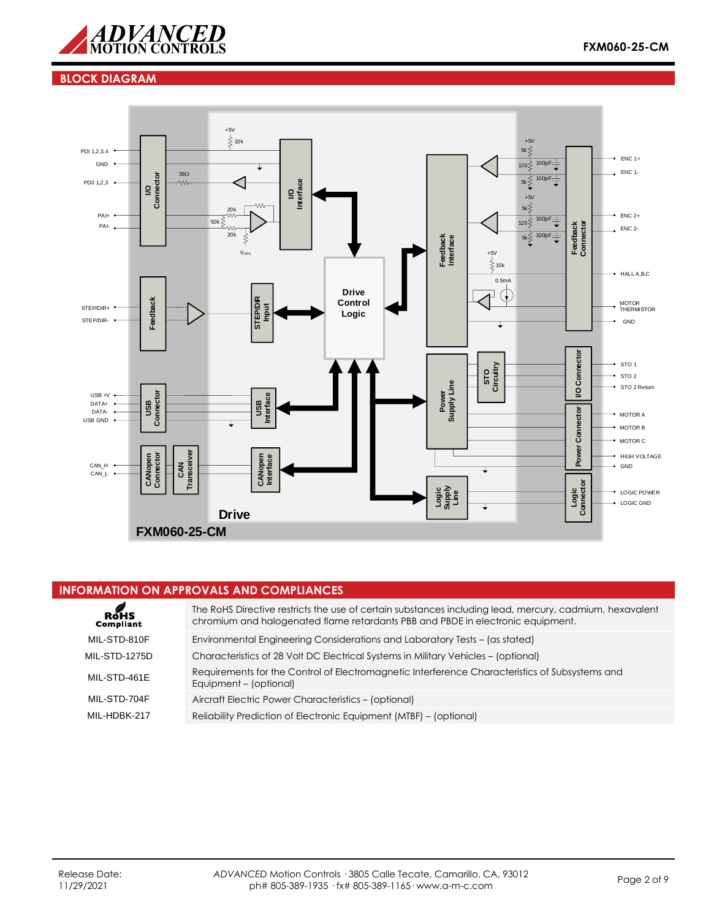

# **BLOCK DIAGRAM**



### **INFORMATION ON APPROVALS AND COMPLIANCES**

| RoHS<br>Compliant    | The RoHS Directive restricts the use of certain substances including lead, mercury, cadmium, hexavalent<br>chromium and halogenated flame retardants PBB and PBDE in electronic equipment. |
|----------------------|--------------------------------------------------------------------------------------------------------------------------------------------------------------------------------------------|
| MIL-STD-810F         | Environmental Engineering Considerations and Laboratory Tests - (as stated)                                                                                                                |
| <b>MIL-STD-1275D</b> | Characteristics of 28 Volt DC Electrical Systems in Military Vehicles – (optional)                                                                                                         |
| MIL-STD-461E         | Requirements for the Control of Electromagnetic Interference Characteristics of Subsystems and<br>Equipment - (optional)                                                                   |
| MIL-STD-704F         | Aircraft Electric Power Characteristics - (optional)                                                                                                                                       |
| MII-HDBK-217         | Reliability Prediction of Electronic Equipment (MTBF) – (optional)                                                                                                                         |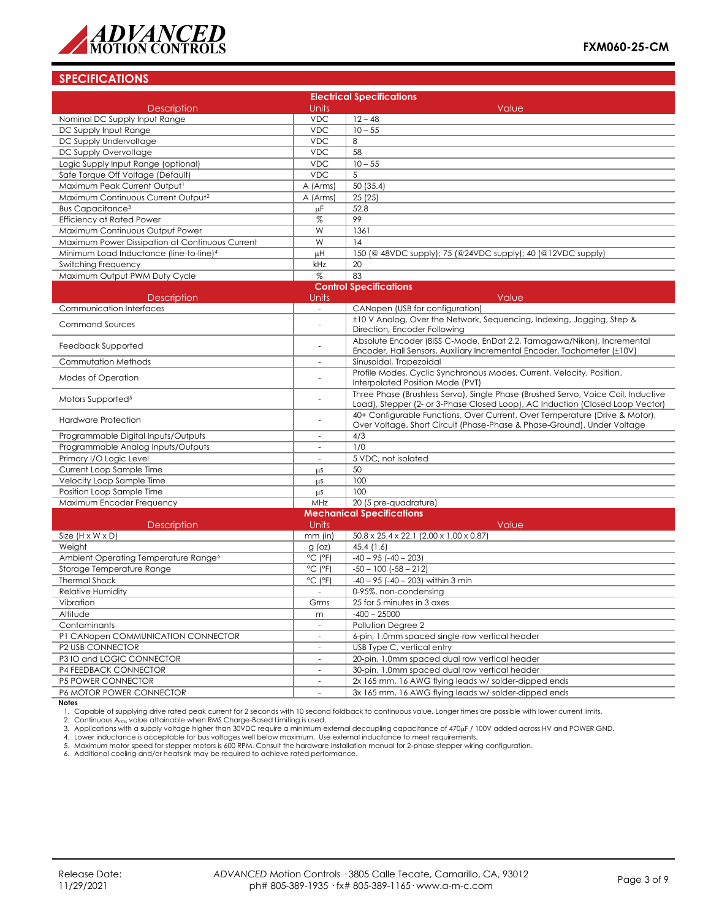

# **SPECIFICATIONS**

| <b>Electrical Specifications</b>                    |                              |                                                                                                                                                                    |  |  |
|-----------------------------------------------------|------------------------------|--------------------------------------------------------------------------------------------------------------------------------------------------------------------|--|--|
| <b>Description</b>                                  | Units                        | Value                                                                                                                                                              |  |  |
| Nominal DC Supply Input Range                       | <b>VDC</b>                   | $12 - 48$                                                                                                                                                          |  |  |
| DC Supply Input Range                               | <b>VDC</b>                   | $10 - 55$                                                                                                                                                          |  |  |
| DC Supply Undervoltage                              | <b>VDC</b>                   | 8                                                                                                                                                                  |  |  |
| DC Supply Overvoltage                               | <b>VDC</b>                   | 58                                                                                                                                                                 |  |  |
| Logic Supply Input Range (optional)                 | <b>VDC</b>                   | $10 - 55$                                                                                                                                                          |  |  |
| Safe Torque Off Voltage (Default)                   | <b>VDC</b>                   | 5                                                                                                                                                                  |  |  |
| Maximum Peak Current Output1                        | A (Arms)                     | 50 (35.4)                                                                                                                                                          |  |  |
| Maximum Continuous Current Output <sup>2</sup>      | A (Arms)                     | 25(25)                                                                                                                                                             |  |  |
| Bus Capacitance <sup>3</sup>                        | μF                           | 52.8                                                                                                                                                               |  |  |
| Efficiency at Rated Power                           | $\%$                         | 99                                                                                                                                                                 |  |  |
| Maximum Continuous Output Power                     | W                            | 1361                                                                                                                                                               |  |  |
| Maximum Power Dissipation at Continuous Current     | W                            | 14                                                                                                                                                                 |  |  |
| Minimum Load Inductance (line-to-line) <sup>4</sup> | μH                           | 150 (@ 48VDC supply); 75 (@24VDC supply); 40 (@12VDC supply)                                                                                                       |  |  |
| Switching Frequency                                 | kHz                          | 20                                                                                                                                                                 |  |  |
| Maximum Output PWM Duty Cycle                       | %                            | 83                                                                                                                                                                 |  |  |
|                                                     |                              | <b>Control Specifications</b>                                                                                                                                      |  |  |
| <b>Description</b>                                  | Units                        | Value                                                                                                                                                              |  |  |
| Communication Interfaces                            | $\sim$                       | CANopen (USB for configuration)                                                                                                                                    |  |  |
| <b>Command Sources</b>                              |                              | ±10 V Analog, Over the Network, Sequencing, Indexing, Jogging, Step &<br>Direction, Encoder Following                                                              |  |  |
| Feedback Supported                                  | $\overline{\phantom{a}}$     | Absolute Encoder (BiSS C-Mode, EnDat 2.2, Tamagawa/Nikon), Incremental<br>Encoder, Hall Sensors, Auxiliary Incremental Encoder, Tachometer (±10V)                  |  |  |
| Commutation Methods                                 | $\overline{\phantom{a}}$     | Sinusoidal, Trapezoidal                                                                                                                                            |  |  |
| Modes of Operation                                  |                              | Profile Modes, Cyclic Synchronous Modes, Current, Velocity, Position,<br>Interpolated Position Mode (PVT)                                                          |  |  |
| Motors Supported <sup>5</sup>                       | $\overline{a}$               | Three Phase (Brushless Servo), Single Phase (Brushed Servo, Voice Coil, Inductive<br>Load), Stepper (2- or 3-Phase Closed Loop), AC Induction (Closed Loop Vector) |  |  |
| Hardware Protection                                 |                              | 40+ Configurable Functions, Over Current, Over Temperature (Drive & Motor),<br>Over Voltage, Short Circuit (Phase-Phase & Phase-Ground), Under Voltage             |  |  |
| Programmable Digital Inputs/Outputs                 | $\overline{\phantom{a}}$     | 4/3                                                                                                                                                                |  |  |
| Programmable Analog Inputs/Outputs                  |                              | 1/0                                                                                                                                                                |  |  |
| Primary I/O Logic Level                             | $\sim$                       | 5 VDC, not isolated                                                                                                                                                |  |  |
| Current Loop Sample Time                            | μS                           | 50                                                                                                                                                                 |  |  |
| Velocity Loop Sample Time                           | μS                           | 100                                                                                                                                                                |  |  |
| Position Loop Sample Time                           | μS                           | 100                                                                                                                                                                |  |  |
| Maximum Encoder Frequency                           | MHz                          | 20 (5 pre-quadrature)                                                                                                                                              |  |  |
|                                                     |                              | <b>Mechanical Specifications</b>                                                                                                                                   |  |  |
| Description                                         | Units                        | Value                                                                                                                                                              |  |  |
| Size $(H \times W \times D)$                        | $mm$ (in)                    | 50.8 x 25.4 x 22.1 (2.00 x 1.00 x 0.87)                                                                                                                            |  |  |
| Weight                                              | $g$ (oz)                     | 45.4(1.6)                                                                                                                                                          |  |  |
| Ambient Operating Temperature Range <sup>6</sup>    | $^{\circ}$ C ( $^{\circ}$ F) | $-40 - 95$ $(-40 - 203)$                                                                                                                                           |  |  |
| Storage Temperature Range                           | $^{\circ}$ C ( $^{\circ}$ F) | $-50 - 100$ $(-58 - 212)$                                                                                                                                          |  |  |
| <b>Thermal Shock</b>                                | $^{\circ}$ C ( $^{\circ}$ F) | $-40 - 95$ ( $-40 - 203$ ) within 3 min                                                                                                                            |  |  |
| <b>Relative Humidity</b>                            |                              | 0-95%, non-condensing                                                                                                                                              |  |  |
| Vibration                                           | Grms                         | 25 for 5 minutes in 3 axes                                                                                                                                         |  |  |
| Altitude                                            | m                            | $-400 - 25000$                                                                                                                                                     |  |  |
| Contaminants                                        | $\bar{a}$                    | Pollution Degree 2                                                                                                                                                 |  |  |
| P1 CANopen COMMUNICATION CONNECTOR                  | $\overline{\phantom{a}}$     | 6-pin, 1.0mm spaced single row vertical header                                                                                                                     |  |  |
| P2 USB CONNECTOR                                    |                              | USB Type C, vertical entry                                                                                                                                         |  |  |
| P3 IO and LOGIC CONNECTOR                           | $\overline{\phantom{a}}$     | 20-pin, 1.0mm spaced dual row vertical header                                                                                                                      |  |  |
| <b>P4 FEEDBACK CONNECTOR</b>                        | $\overline{\phantom{a}}$     | 30-pin, 1.0mm spaced dual row vertical header                                                                                                                      |  |  |
| P5 POWER CONNECTOR                                  | $\overline{\phantom{a}}$     | 2x 165 mm, 16 AWG flying leads w/ solder-dipped ends                                                                                                               |  |  |
| P6 MOTOR POWER CONNECTOR                            | $\overline{\phantom{a}}$     | 3x 165 mm, 16 AWG flying leads w/ solder-dipped ends                                                                                                               |  |  |

**Notes**<br>1. Capable of supplying drive rated peak current for 2 seconds with 10 second foldback to continuous value. Longer times are possible with lower current limits.<br>2. Continuous A<sub>rms</sub> value attainable when RMS Charge

3. Applications with a supply voltage higher than 30VDC require a minimum external decoupling capacitance of 470µF / 100V added across HV and POWER GND.

4. Lower inductance is acceptable for bus voltages well below maximum. Use external inductance to meet requirements.<br>5. Maximum motor speed for stepper motors is 600 RPM. Consult the hardware installation manual for 2-phas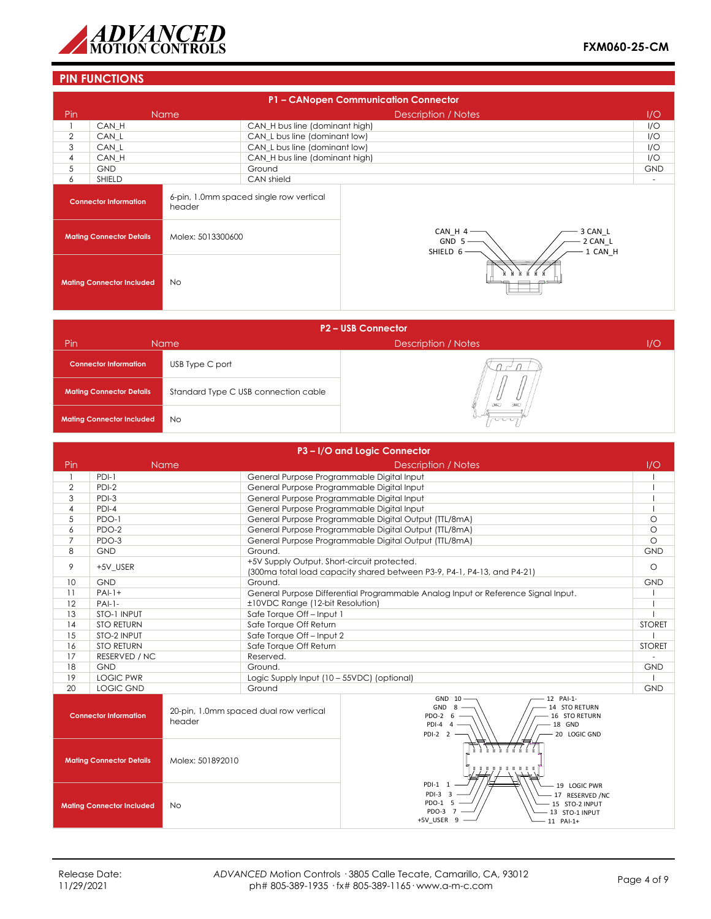

# **PIN FUNCTIONS**

|                                        | P1 - CANopen Communication Connector |                   |                                         |                                                                  |            |  |
|----------------------------------------|--------------------------------------|-------------------|-----------------------------------------|------------------------------------------------------------------|------------|--|
| Pin                                    |                                      | <b>Name</b>       |                                         | <b>Description / Notes</b>                                       | I/O        |  |
|                                        | CAN H                                |                   | CAN_H bus line (dominant high)          |                                                                  | I/O        |  |
| $\overline{2}$                         | CAN L                                |                   | CAN_L bus line (dominant low)           |                                                                  | I/O        |  |
| 3                                      | CAN L                                |                   | CAN_L bus line (dominant low)           |                                                                  | I/O        |  |
| $\overline{4}$                         | CAN H                                |                   | CAN_H bus line (dominant high)          |                                                                  | I/O        |  |
| 5                                      | <b>GND</b>                           |                   | Ground                                  |                                                                  | <b>GND</b> |  |
| 6                                      | <b>SHIELD</b>                        |                   | CAN shield                              |                                                                  |            |  |
| <b>Connector Information</b><br>header |                                      |                   | 6-pin, 1.0mm spaced single row vertical |                                                                  |            |  |
|                                        | <b>Mating Connector Details</b>      | Molex: 5013300600 |                                         | 3 CAN L<br>CAN H 4<br>2 CAN L<br>$GND 5-$<br>1 CAN H<br>SHIELD 6 |            |  |
|                                        | <b>Mating Connector Included</b>     | No.               |                                         |                                                                  |            |  |

| <b>P2-USB Connector</b>          |                                      |                            |     |  |  |  |
|----------------------------------|--------------------------------------|----------------------------|-----|--|--|--|
| Pin                              | <b>Name</b>                          | <b>Description / Notes</b> | 1/O |  |  |  |
| <b>Connector Information</b>     | USB Type C port                      |                            |     |  |  |  |
| <b>Mating Connector Details</b>  | Standard Type C USB connection cable | <b>DEC</b><br><b>DALL</b>  |     |  |  |  |
| <b>Mating Connector Included</b> | <b>No</b>                            | nnn                        |     |  |  |  |

|                |                                  |                  |                                             | P3-I/O and Logic Connector                                                                                                                     |               |  |
|----------------|----------------------------------|------------------|---------------------------------------------|------------------------------------------------------------------------------------------------------------------------------------------------|---------------|--|
| Pin            |                                  | Name             |                                             | Description / Notes                                                                                                                            | 1/O           |  |
| $\mathbf{1}$   | PDI-1                            |                  |                                             | General Purpose Programmable Digital Input                                                                                                     |               |  |
| $\overline{2}$ | PDI-2                            |                  | General Purpose Programmable Digital Input  |                                                                                                                                                |               |  |
| 3              | PDI-3                            |                  | General Purpose Programmable Digital Input  |                                                                                                                                                |               |  |
| 4              | $PDI-4$                          |                  | General Purpose Programmable Digital Input  |                                                                                                                                                |               |  |
| 5              | PDO-1                            |                  |                                             | General Purpose Programmable Digital Output (TTL/8mA)                                                                                          | $\circ$       |  |
| 6              | PDO-2                            |                  |                                             | General Purpose Programmable Digital Output (TTL/8mA)                                                                                          | $\circ$       |  |
| $\overline{7}$ | PDO-3                            |                  |                                             | General Purpose Programmable Digital Output (TTL/8mA)                                                                                          | $\circ$       |  |
| 8              | <b>GND</b>                       |                  | Ground.                                     |                                                                                                                                                | <b>GND</b>    |  |
| 9              | +5V USER                         |                  | +5V Supply Output. Short-circuit protected. | (300ma total load capacity shared between P3-9, P4-1, P4-13, and P4-21)                                                                        | $\circ$       |  |
| 10             | <b>GND</b>                       |                  | Ground.                                     |                                                                                                                                                | <b>GND</b>    |  |
| 11             | $PAI-1+$                         |                  |                                             | General Purpose Differential Programmable Analog Input or Reference Signal Input.                                                              |               |  |
| 12             | $PAI-1-$                         |                  | ±10VDC Range (12-bit Resolution)            |                                                                                                                                                |               |  |
| 13             | STO-1 INPUT                      |                  | Safe Torque Off-Input 1                     |                                                                                                                                                |               |  |
| 14             | <b>STO RETURN</b>                |                  | Safe Torque Off Return                      |                                                                                                                                                | <b>STORET</b> |  |
| 15             | STO-2 INPUT                      |                  | Safe Torque Off-Input 2                     |                                                                                                                                                |               |  |
| 16             | <b>STO RETURN</b>                |                  | Safe Torque Off Return                      |                                                                                                                                                | <b>STORET</b> |  |
| 17             | RESERVED / NC                    |                  | Reserved.                                   |                                                                                                                                                |               |  |
| 18             | <b>GND</b>                       |                  | Ground.                                     |                                                                                                                                                | <b>GND</b>    |  |
| 19             | <b>LOGIC PWR</b>                 |                  | Logic Supply Input (10 - 55VDC) (optional)  |                                                                                                                                                |               |  |
| 20             | <b>LOGIC GND</b>                 |                  | Ground                                      |                                                                                                                                                | <b>GND</b>    |  |
|                | <b>Connector Information</b>     | header           | 20-pin, 1.0mm spaced dual row vertical      | GND 10<br>12 PAI-1-<br>GND <sub>8</sub><br>14 STO RETURN<br>PDO-2 6<br>16 STO RETURN<br>$PDI-4$ 4<br>18 GND<br>$PDI-2$ 2<br>20 LOGIC GND       |               |  |
|                | <b>Mating Connector Details</b>  | Molex: 501892010 |                                             |                                                                                                                                                |               |  |
|                | <b>Mating Connector Included</b> | <b>No</b>        |                                             | PDI-1 1<br>19 LOGIC PWR<br>PDI-3 3<br>- 17 RESERVED /NC<br>PDO-1 5<br>- 15 STO-2 INPUT<br>PDO-3 7<br>13 STO-1 INPUT<br>+5V USER 9<br>11 PAI-1+ |               |  |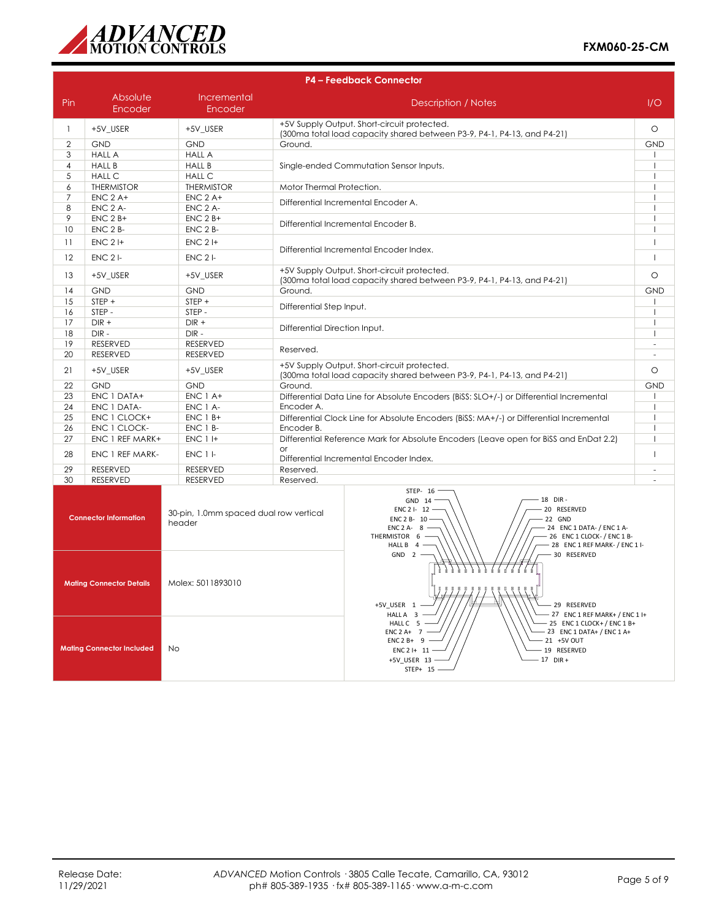

|                | <b>P4 - Feedback Connector</b>   |                                                  |                               |                                                                                                                                                                                                                                                                         |                          |
|----------------|----------------------------------|--------------------------------------------------|-------------------------------|-------------------------------------------------------------------------------------------------------------------------------------------------------------------------------------------------------------------------------------------------------------------------|--------------------------|
| Pin            | Absolute<br>Encoder              | Incremental<br><b>Encoder</b>                    | <b>Description / Notes</b>    |                                                                                                                                                                                                                                                                         | 1/O                      |
| $\mathbf{1}$   | +5V_USER                         | +5V_USER                                         |                               | +5V Supply Output. Short-circuit protected.<br>(300ma total load capacity shared between P3-9, P4-1, P4-13, and P4-21)                                                                                                                                                  | $\circ$                  |
| $\overline{2}$ | <b>GND</b>                       | <b>GND</b>                                       | Ground.                       |                                                                                                                                                                                                                                                                         | <b>GND</b>               |
| 3              | <b>HALL A</b>                    | <b>HALL A</b>                                    |                               |                                                                                                                                                                                                                                                                         | -1                       |
| $\overline{4}$ | <b>HALL B</b>                    | <b>HALL B</b>                                    |                               | Single-ended Commutation Sensor Inputs.                                                                                                                                                                                                                                 | $\overline{\phantom{a}}$ |
| 5              | <b>HALL C</b>                    | <b>HALL C</b>                                    |                               |                                                                                                                                                                                                                                                                         |                          |
| 6              | <b>THERMISTOR</b>                | <b>THERMISTOR</b>                                | Motor Thermal Protection.     |                                                                                                                                                                                                                                                                         | $\overline{1}$           |
| 7              | $ENC$ 2 A+                       | $ENC$ 2 A+                                       |                               |                                                                                                                                                                                                                                                                         | $\overline{1}$           |
| 8              | ENC 2 A-                         | ENC 2 A-                                         |                               | Differential Incremental Encoder A.                                                                                                                                                                                                                                     | $\overline{\phantom{a}}$ |
| 9              | $ENC$ 2 $B+$                     | $ENC$ 2 $B+$                                     |                               |                                                                                                                                                                                                                                                                         | $\overline{1}$           |
| 10             | ENC 2 B-                         | ENC 2 B-                                         |                               | Differential Incremental Encoder B.                                                                                                                                                                                                                                     | $\overline{1}$           |
| 11             | $ENC$ 2 I+                       | $ENC$ 2 $H$                                      |                               | Differential Incremental Encoder Index.                                                                                                                                                                                                                                 | $\overline{1}$           |
| 12             | $ENC$ 2 $I-$                     | $ENC$ 2 $I-$                                     |                               |                                                                                                                                                                                                                                                                         | $\overline{1}$           |
| 13             | +5V_USER                         | +5V_USER                                         |                               | +5V Supply Output. Short-circuit protected.<br>(300ma total load capacity shared between P3-9, P4-1, P4-13, and P4-21)                                                                                                                                                  | $\circ$                  |
| 14             | <b>GND</b>                       | <b>GND</b>                                       | Ground.                       |                                                                                                                                                                                                                                                                         | <b>GND</b>               |
| 15             | STEP +                           | STEP +                                           |                               |                                                                                                                                                                                                                                                                         | $\overline{\phantom{a}}$ |
| 16             | STEP -                           | STEP-                                            | Differential Step Input.      |                                                                                                                                                                                                                                                                         | $\overline{1}$           |
| 17             | $DIR +$                          | $DIR +$                                          | Differential Direction Input. |                                                                                                                                                                                                                                                                         | $\overline{1}$           |
| 18             | $\textsf{DIR}$ -                 | $DIR -$                                          |                               |                                                                                                                                                                                                                                                                         | $\overline{1}$           |
| 19             | <b>RESERVED</b>                  | <b>RESERVED</b>                                  | Reserved.                     |                                                                                                                                                                                                                                                                         | ÷.                       |
| 20             | <b>RESERVED</b>                  | <b>RESERVED</b>                                  |                               |                                                                                                                                                                                                                                                                         | $\sim$                   |
| 21             | +5V_USER                         | +5V_USER                                         |                               | +5V Supply Output. Short-circuit protected.<br>(300mg total load capacity shared between P3-9, P4-1, P4-13, and P4-21)                                                                                                                                                  | $\circ$                  |
| 22             | <b>GND</b>                       | <b>GND</b>                                       | Ground.                       |                                                                                                                                                                                                                                                                         | <b>GND</b>               |
| 23             | ENC 1 DATA+                      | ENC 1 A+                                         |                               | Differential Data Line for Absolute Encoders (BiSS: SLO+/-) or Differential Incremental                                                                                                                                                                                 | $\mathbf{I}$             |
| 24             | ENC 1 DATA-                      | ENC 1 A-                                         | Encoder A.                    |                                                                                                                                                                                                                                                                         | $\overline{1}$           |
| 25             | ENC 1 CLOCK+                     | $ENC$ 1 $B+$                                     |                               | Differential Clock Line for Absolute Encoders (BiSS: MA+/-) or Differential Incremental                                                                                                                                                                                 | $\overline{1}$           |
| 26             | ENC 1 CLOCK-                     | ENC 1 B-                                         | Encoder B.                    |                                                                                                                                                                                                                                                                         | $\overline{1}$           |
| 27             | ENC 1 REF MARK+                  | <b>ENC 1 I+</b>                                  | $\alpha$ r                    | Differential Reference Mark for Absolute Encoders (Leave open for BiSS and EnDat 2.2)                                                                                                                                                                                   | $\overline{\phantom{a}}$ |
| 28             | ENC 1 REF MARK-                  | ENC 1 I-                                         |                               | Differential Incremental Encoder Index.                                                                                                                                                                                                                                 | $\mathbf{I}$             |
| 29             | <b>RESERVED</b>                  | RESERVED                                         | Reserved.                     |                                                                                                                                                                                                                                                                         | ä,                       |
| 30             | <b>RESERVED</b>                  | <b>RESERVED</b>                                  | Reserved.                     |                                                                                                                                                                                                                                                                         |                          |
|                | <b>Connector Information</b>     | 30-pin, 1.0mm spaced dual row vertical<br>header |                               | STEP- 16<br>18 DIR-<br>GND 14<br>ENC 2 I- 12 -<br>20 RESERVED<br>22 GND<br>ENC 2 B- 10<br>ENC 2 A-8 -<br>- 24 ENC 1 DATA- / ENC 1 A-<br>THERMISTOR 6 -<br>- 26 ENC 1 CLOCK- / ENC 1 B-<br>- 28 ENC 1 REF MARK- / ENC 1 I-<br>HALL B $4 -$<br>$GND$ 2 -<br>- 30 RESERVED |                          |
|                | <b>Mating Connector Details</b>  | Molex: 5011893010                                |                               | .<br>+5V USER 1<br>29 RESERVED<br>HALL A 3<br>27 ENC 1 REF MARK+ / ENC 1 I+<br>HALL C 5 -<br>$-25$ ENC 1 CLOCK + / ENC 1 B+<br>- 23 ENC 1 DATA+ / ENC 1 A+<br>$ENC 2 A+ 7$                                                                                              |                          |
|                | <b>Mating Connector Included</b> | No                                               |                               | $ENC2B+ 9 -$<br>$-21$ +5V OUT<br>$ENC2$ I+ 11<br>19 RESERVED                                                                                                                                                                                                            |                          |

#### 19 RESERVED 17 DIR +

<code>ENC 2</code> I+  $\,$  11  $\cdot$ +5V\_USER 13 STEP+ 15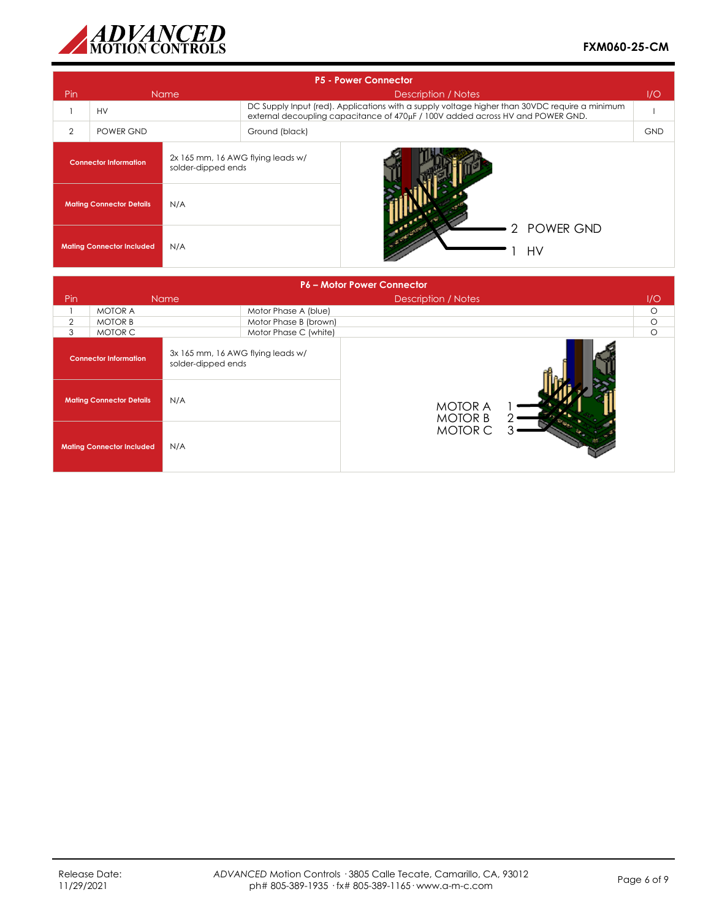

|                                                                                         | <b>P5 - Power Connector</b> |     |                |                                                                                                                                                                                 |            |  |  |
|-----------------------------------------------------------------------------------------|-----------------------------|-----|----------------|---------------------------------------------------------------------------------------------------------------------------------------------------------------------------------|------------|--|--|
| Pin                                                                                     | <b>Name</b>                 |     |                | Description / Notes                                                                                                                                                             | I/O        |  |  |
|                                                                                         | <b>HV</b>                   |     |                | DC Supply Input (red). Applications with a supply voltage higher than 30VDC require a minimum<br>external decoupling capacitance of 470µF / 100V added across HV and POWER GND. |            |  |  |
| $\overline{2}$                                                                          | POWER GND                   |     | Ground (black) |                                                                                                                                                                                 | <b>GND</b> |  |  |
| 2x 165 mm, 16 AWG flying leads w/<br><b>Connector Information</b><br>solder-dipped ends |                             |     |                |                                                                                                                                                                                 |            |  |  |
| N/A<br><b>Mating Connector Details</b>                                                  |                             |     |                |                                                                                                                                                                                 |            |  |  |
| <b>Mating Connector Included</b>                                                        |                             | N/A |                | 2 POWER GND<br>HV                                                                                                                                                               |            |  |  |

|                                 | <b>P6 - Motor Power Connector</b>                                                       |             |                       |                                  |  |         |  |
|---------------------------------|-----------------------------------------------------------------------------------------|-------------|-----------------------|----------------------------------|--|---------|--|
| Pin                             |                                                                                         | <b>Name</b> |                       | Description / Notes              |  | 1/O     |  |
|                                 | <b>MOTOR A</b>                                                                          |             | Motor Phase A (blue)  |                                  |  | $\circ$ |  |
| $\overline{2}$                  | <b>MOTOR B</b>                                                                          |             | Motor Phase B (brown) |                                  |  | $\circ$ |  |
| 3                               | MOTOR C                                                                                 |             | Motor Phase C (white) |                                  |  | $\circ$ |  |
|                                 | 3x 165 mm, 16 AWG flying leads w/<br><b>Connector Information</b><br>solder-dipped ends |             |                       |                                  |  |         |  |
| <b>Mating Connector Details</b> |                                                                                         | N/A         |                       | <b>MOTOR A</b><br><b>MOTOR B</b> |  |         |  |
|                                 | <b>Mating Connector Included</b>                                                        | N/A         |                       | <b>MOTOR C</b>                   |  |         |  |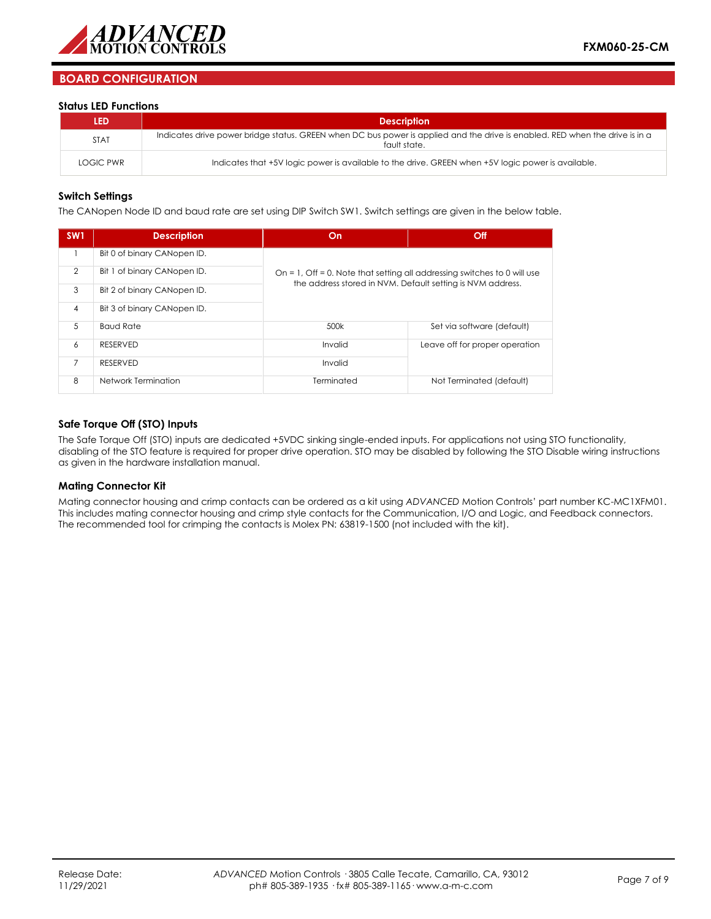

# **BOARD CONFIGURATION**

#### **Status LED Functions**

| <b>LED</b>  | <b>Description</b>                                                                                                                           |
|-------------|----------------------------------------------------------------------------------------------------------------------------------------------|
| <b>STAT</b> | Indicates drive power bridge status. GREEN when DC bus power is applied and the drive is enabled. RED when the drive is in a<br>fault state. |
| LOGIC PWR   | Indicates that +5V logic power is available to the drive. GREEN when +5V logic power is available.                                           |

#### **Switch Settings**

The CANopen Node ID and baud rate are set using DIP Switch SW1. Switch settings are given in the below table.

| SW <sub>1</sub> | <b>Description</b>          | On                                                                       | Off                            |  |  |  |
|-----------------|-----------------------------|--------------------------------------------------------------------------|--------------------------------|--|--|--|
|                 | Bit 0 of binary CANopen ID. |                                                                          |                                |  |  |  |
| $\overline{2}$  | Bit 1 of binary CANopen ID. | On = 1, Off = 0. Note that setting all addressing switches to 0 will use |                                |  |  |  |
| 3               | Bit 2 of binary CANopen ID. | the address stored in NVM. Default setting is NVM address.               |                                |  |  |  |
| $\overline{4}$  | Bit 3 of binary CANopen ID. |                                                                          |                                |  |  |  |
| 5               | <b>Baud Rate</b>            | 500k                                                                     | Set via software (default)     |  |  |  |
| 6               | <b>RESERVED</b>             | Invalid                                                                  | Leave off for proper operation |  |  |  |
| $\overline{7}$  | <b>RESERVED</b>             | Invalid                                                                  |                                |  |  |  |
| 8               | Network Termination         | Terminated                                                               | Not Terminated (default)       |  |  |  |

#### **Safe Torque Off (STO) Inputs**

The Safe Torque Off (STO) inputs are dedicated +5VDC sinking single-ended inputs. For applications not using STO functionality, disabling of the STO feature is required for proper drive operation. STO may be disabled by following the STO Disable wiring instructions as given in the hardware installation manual.

#### **Mating Connector Kit**

Mating connector housing and crimp contacts can be ordered as a kit using *ADVANCED* Motion Controls' part number KC-MC1XFM01. This includes mating connector housing and crimp style contacts for the Communication, I/O and Logic, and Feedback connectors. The recommended tool for crimping the contacts is Molex PN: 63819-1500 (not included with the kit).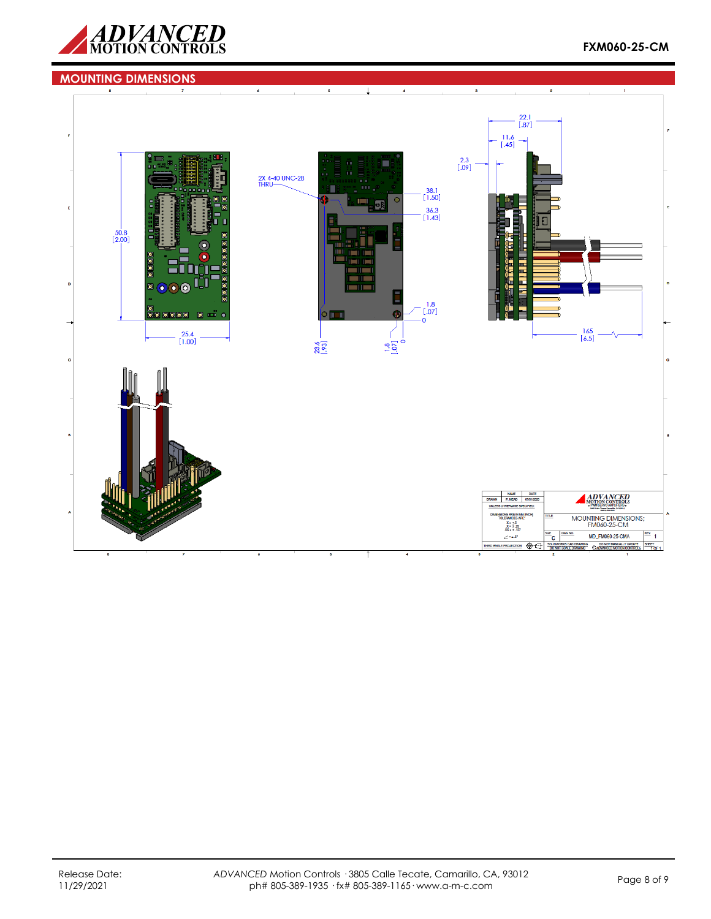

# **FXM060-25-CM**